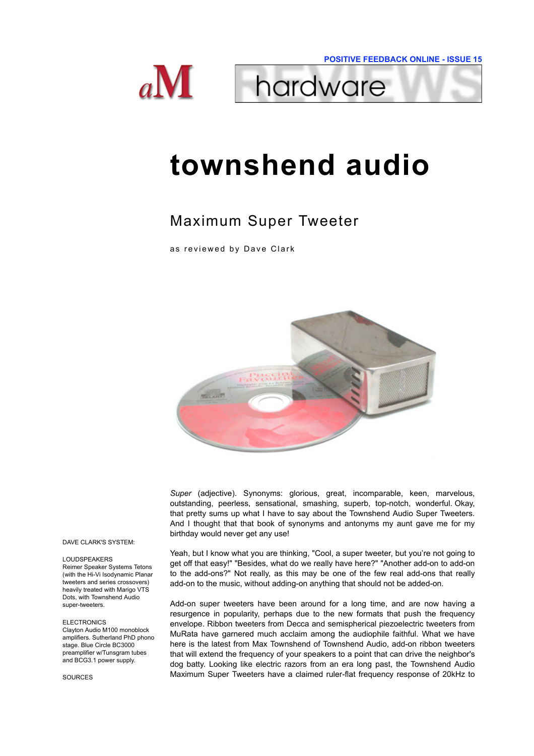



# **townshend audio**

## Maximum Super Tweeter

as reviewed by Dave Clark



*Super* (adjective). Synonyms: glorious, great, incomparable, keen, marvelous, outstanding, peerless, sensational, smashing, superb, top-notch, wonderful. Okay, that pretty sums up what I have to say about the Townshend Audio Super Tweeters. And I thought that that book of synonyms and antonyms my aunt gave me for my birthday would never get any use!

Yeah, but I know what you are thinking, "Cool, a super tweeter, but you're not going to get off that easy!" "Besides, what do we really have here?" "Another add-on to add-on to the add-ons?" Not really, as this may be one of the few real add-ons that really add-on to the music, without adding-on anything that should not be added-on.

Add-on super tweeters have been around for a long time, and are now having a resurgence in popularity, perhaps due to the new formats that push the frequency envelope. Ribbon tweeters from Decca and semispherical piezoelectric tweeters from MuRata have garnered much acclaim among the audiophile faithful. What we have here is the latest from Max Townshend of Townshend Audio, add-on ribbon tweeters that will extend the frequency of your speakers to a point that can drive the neighbor's dog batty. Looking like electric razors from an era long past, the Townshend Audio Maximum Super Tweeters have a claimed ruler-flat frequency response of 20kHz to

#### DAVE CLARK'S SYSTEM:

#### LOUDSPEAKERS

Reimer Speaker Systems Tetons (with the Hi-Vi Isodynamic Planar tweeters and series crossovers) heavily treated with Marigo VTS Dots, with Townshend Audio super-tweeters.

#### **ELECTRONICS**

Clayton Audio M100 monoblock amplifiers. Sutherland PhD phono stage. Blue Circle BC3000 preamplifier w/Tunsgram tubes and BCG3.1 power supply.

SOURCES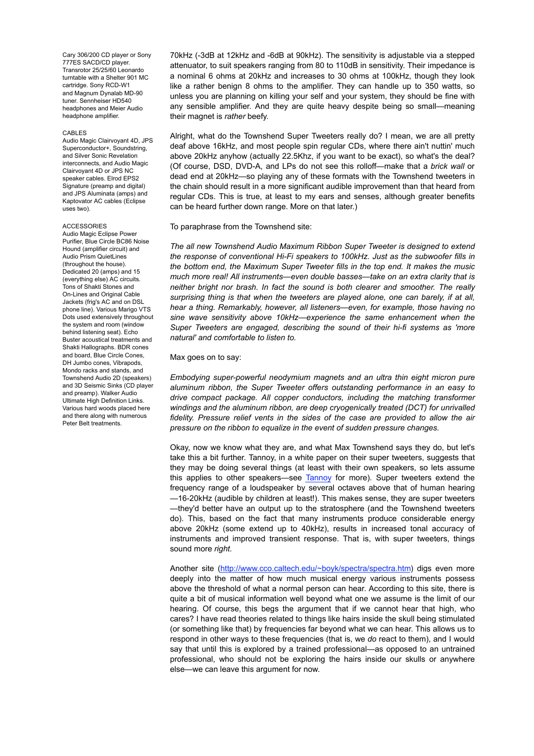Cary 306/200 CD player or Sony 777ES SACD/CD player. Transrotor 25/25/60 Leonardo turntable with a Shelter 901 MC cartridge. Sony RCD-W1 and Magnum Dynalab MD-90 tuner. Sennheiser HD540 headphones and Meier Audio headphone amplifier.

#### CABLES

Audio Magic Clairvoyant 4D, JPS Superconductor+, Soundstring, and Silver Sonic Revelation interconnects, and Audio Magic Clairvoyant 4D or JPS NC speaker cables. Elrod EPS2 Signature (preamp and digital) and JPS Aluminata (amps) and Kaptovator AC cables (Eclipse uses two).

#### ACCESSORIES

Audio Magic Eclipse Power Purifier, Blue Circle BC86 Noise Hound (amplifier circuit) and Audio Prism QuietLines (throughout the house). Dedicated 20 (amps) and 15 (everything else) AC circuits. Tons of Shakti Stones and On-Lines and Original Cable Jackets (frig's AC and on DSL phone line). Various Marigo VTS Dots used extensively throughout the system and room (window behind listening seat). Echo Buster acoustical treatments and Shakti Hallographs. BDR cones and board, Blue Circle Cones, DH Jumbo cones, Vibrapods, Mondo racks and stands, and Townshend Audio 2D (speakers) and 3D Seismic Sinks (CD player and preamp). Walker Audio Ultimate High Definition Links. Various hard woods placed here and there along with numerous Peter Belt treatments.

70kHz (-3dB at 12kHz and -6dB at 90kHz). The sensitivity is adjustable via a stepped attenuator, to suit speakers ranging from 80 to 110dB in sensitivity. Their impedance is a nominal 6 ohms at 20kHz and increases to 30 ohms at 100kHz, though they look like a rather benign 8 ohms to the amplifier. They can handle up to 350 watts, so unless you are planning on killing your self and your system, they should be fine with any sensible amplifier. And they are quite heavy despite being so small—meaning their magnet is *rather* beefy.

Alright, what do the Townshend Super Tweeters really do? I mean, we are all pretty deaf above 16kHz, and most people spin regular CDs, where there ain't nuttin' much above 20kHz anyhow (actually 22.5Khz, if you want to be exact), so what's the deal? (Of course, DSD, DVD-A, and LPs do not see this rolloff—make that a *brick wall* or dead end at 20kHz—so playing any of these formats with the Townshend tweeters in the chain should result in a more significant audible improvement than that heard from regular CDs. This is true, at least to my ears and senses, although greater benefits can be heard further down range. More on that later.)

#### To paraphrase from the Townshend site:

*The all new Townshend Audio Maximum Ribbon Super Tweeter is designed to extend the response of conventional Hi-Fi speakers to 100kHz. Just as the subwoofer fills in the bottom end, the Maximum Super Tweeter fills in the top end. It makes the music much more real! All instruments—even double basses—take on an extra clarity that is neither bright nor brash. In fact the sound is both clearer and smoother. The really surprising thing is that when the tweeters are played alone, one can barely, if at all, hear a thing. Remarkably, however, all listeners—even, for example, those having no sine wave sensitivity above 10kHz—experience the same enhancement when the Super Tweeters are engaged, describing the sound of their hi-fi systems as 'more natural' and comfortable to listen to.*

### Max goes on to say:

*Embodying super-powerful neodymium magnets and an ultra thin eight micron pure aluminum ribbon, the Super Tweeter offers outstanding performance in an easy to drive compact package. All copper conductors, including the matching transformer windings and the aluminum ribbon, are deep cryogenically treated (DCT) for unrivalled fidelity. Pressure relief vents in the sides of the case are provided to allow the air pressure on the ribbon to equalize in the event of sudden pressure changes.*

Okay, now we know what they are, and what Max Townshend says they do, but let's take this a bit further. Tannoy, in a white paper on their super tweeters, suggests that they may be doing several things (at least with their own speakers, so lets assume this applies to other speakers—see Tannoy for more). Super tweeters extend the frequency range of a loudspeaker by several octaves above that of human hearing —16-20kHz (audible by children at least!). This makes sense, they are super tweeters —they'd better have an output up to the stratosphere (and the Townshend tweeters do). This, based on the fact that many instruments produce considerable energy above 20kHz (some extend up to 40kHz), results in increased tonal accuracy of instruments and improved transient response. That is, with super tweeters, things sound more *right*.

Another site (http://www.cco.caltech.edu/~boyk/spectra/spectra.htm) digs even more deeply into the matter of how much musical energy various instruments possess above the threshold of what a normal person can hear. According to this site, there is quite a bit of musical information well beyond what one we assume is the limit of our hearing. Of course, this begs the argument that if we cannot hear that high, who cares? I have read theories related to things like hairs inside the skull being stimulated (or something like that) by frequencies far beyond what we can hear. This allows us to respond in other ways to these frequencies (that is, we *do* react to them), and I would say that until this is explored by a trained professional—as opposed to an untrained professional, who should not be exploring the hairs inside our skulls or anywhere else—we can leave this argument for now.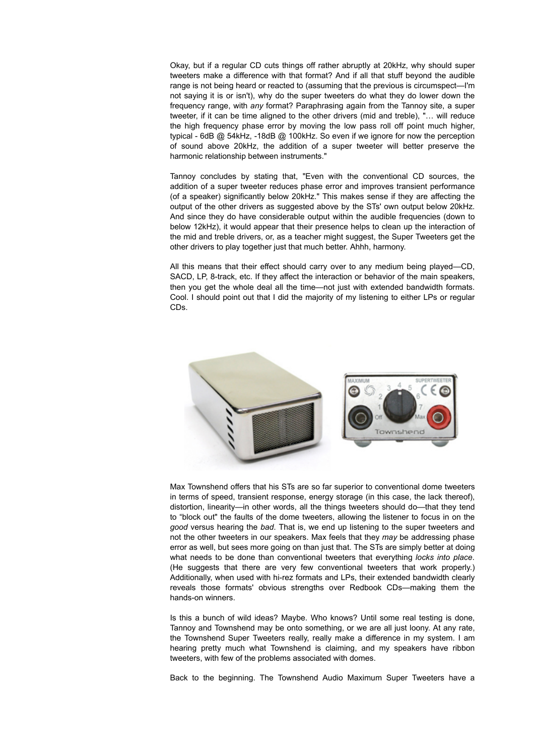Okay, but if a regular CD cuts things off rather abruptly at 20kHz, why should super tweeters make a difference with that format? And if all that stuff beyond the audible range is not being heard or reacted to (assuming that the previous is circumspect—I'm not saying it is or isn't), why do the super tweeters do what they do lower down the frequency range, with *any* format? Paraphrasing again from the Tannoy site, a super tweeter, if it can be time aligned to the other drivers (mid and treble), "… will reduce the high frequency phase error by moving the low pass roll off point much higher, typical - 6dB @ 54kHz, -18dB @ 100kHz. So even if we ignore for now the perception of sound above 20kHz, the addition of a super tweeter will better preserve the harmonic relationship between instruments."

Tannoy concludes by stating that, "Even with the conventional CD sources, the addition of a super tweeter reduces phase error and improves transient performance (of a speaker) significantly below 20kHz." This makes sense if they are affecting the output of the other drivers as suggested above by the STs' own output below 20kHz. And since they do have considerable output within the audible frequencies (down to below 12kHz), it would appear that their presence helps to clean up the interaction of the mid and treble drivers, or, as a teacher might suggest, the Super Tweeters get the other drivers to play together just that much better. Ahhh, harmony.

All this means that their effect should carry over to any medium being played—CD, SACD, LP, 8-track, etc. If they affect the interaction or behavior of the main speakers, then you get the whole deal all the time—not just with extended bandwidth formats. Cool. I should point out that I did the majority of my listening to either LPs or regular CDs.



Max Townshend offers that his STs are so far superior to conventional dome tweeters in terms of speed, transient response, energy storage (in this case, the lack thereof), distortion, linearity—in other words, all the things tweeters should do—that they tend to "block out" the faults of the dome tweeters, allowing the listener to focus in on the *good* versus hearing the *bad*. That is, we end up listening to the super tweeters and not the other tweeters in our speakers. Max feels that they *may* be addressing phase error as well, but sees more going on than just that. The STs are simply better at doing what needs to be done than conventional tweeters that everything *locks into place*. (He suggests that there are very few conventional tweeters that work properly.) Additionally, when used with hi-rez formats and LPs, their extended bandwidth clearly reveals those formats' obvious strengths over Redbook CDs—making them the hands-on winners.

Is this a bunch of wild ideas? Maybe. Who knows? Until some real testing is done, Tannoy and Townshend may be onto something, or we are all just loony. At any rate, the Townshend Super Tweeters really, really make a difference in my system. I am hearing pretty much what Townshend is claiming, and my speakers have ribbon tweeters, with few of the problems associated with domes.

Back to the beginning. The Townshend Audio Maximum Super Tweeters have a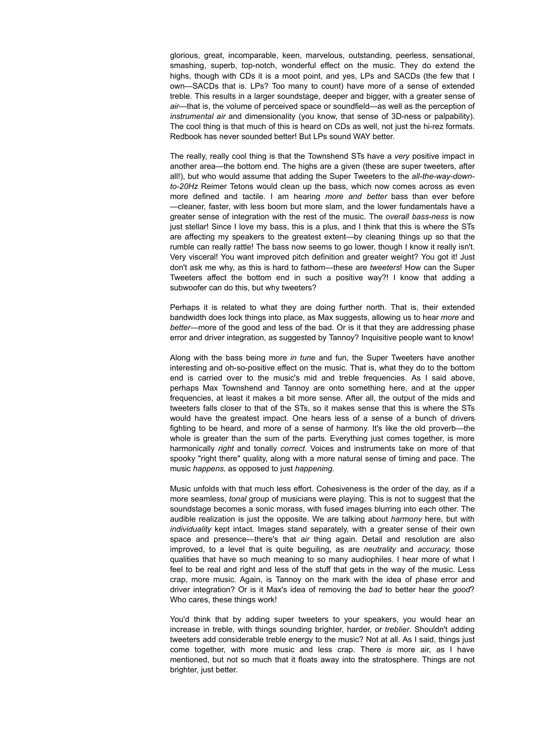glorious, great, incomparable, keen, marvelous, outstanding, peerless, sensational, smashing, superb, top-notch, wonderful effect on the music. They do extend the highs, though with CDs it is a moot point, and yes, LPs and SACDs (the few that I own—SACDs that is. LPs? Too many to count) have more of a sense of extended treble. This results in a larger soundstage, deeper and bigger, with a greater sense of *air*—that is, the volume of perceived space or soundfield—as well as the perception of *instrumental air* and dimensionality (you know, that sense of 3D-ness or palpability). The cool thing is that much of this is heard on CDs as well, not just the hi-rez formats. Redbook has never sounded better! But LPs sound WAY better.

The really, really cool thing is that the Townshend STs have a *very* positive impact in another area—the bottom end. The highs are a given (these are super tweeters, after all!), but who would assume that adding the Super Tweeters to the *all-the-way-downto-20Hz* Reimer Tetons would clean up the bass, which now comes across as even more defined and tactile. I am hearing *more and better* bass than ever before —cleaner, faster, with less boom but more slam, and the lower fundamentals have a greater sense of integration with the rest of the music. The *overall bass-ness* is now just stellar! Since I love my bass, this is a plus, and I think that this is where the STs are affecting my speakers to the greatest extent—by cleaning things up so that the rumble can really rattle! The bass now seems to go lower, though I know it really isn't. Very visceral! You want improved pitch definition and greater weight? You got it! Just don't ask me why, as this is hard to fathom—these are *tweeters*! How can the Super Tweeters affect the bottom end in such a positive way?! I know that adding a subwoofer can do this, but why tweeters?

Perhaps it is related to what they are doing further north. That is, their extended bandwidth does lock things into place, as Max suggests, allowing us to hear *more* and *better—*more of the good and less of the bad. Or is it that they are addressing phase error and driver integration, as suggested by Tannoy? Inquisitive people want to know!

Along with the bass being more *in tune* and fun, the Super Tweeters have another interesting and oh-so-positive effect on the music. That is, what they do to the bottom end is carried over to the music's mid and treble frequencies. As I said above, perhaps Max Townshend and Tannoy are onto something here, and at the upper frequencies, at least it makes a bit more sense. After all, the output of the mids and tweeters falls closer to that of the STs, so it makes sense that this is where the STs would have the greatest impact. One hears less of a sense of a bunch of drivers fighting to be heard, and more of a sense of harmony. It's like the old proverb—the whole is greater than the sum of the parts. Everything just comes together, is more harmonically *right* and tonally *correct*. Voices and instruments take on more of that spooky "right there" quality, along with a more natural sense of timing and pace. The music *happens,* as opposed to just *happening.* 

Music unfolds with that much less effort. Cohesiveness is the order of the day, as if a more seamless, *tonal* group of musicians were playing. This is not to suggest that the soundstage becomes a sonic morass, with fused images blurring into each other. The audible realization is just the opposite. We are talking about *harmony* here, but with *individuality* kept intact. Images stand separately, with a greater sense of their own space and presence—there's that *air* thing again. Detail and resolution are also improved, to a level that is quite beguiling, as are *neutrality* and *accuracy,* those qualities that have so much meaning to so many audiophiles. I hear more of what I feel to be real and right and less of the stuff that gets in the way of the music. Less crap, more music. Again, is Tannoy on the mark with the idea of phase error and driver integration? Or is it Max's idea of removing the *bad* to better hear the *good*? Who cares, these things work!

You'd think that by adding super tweeters to your speakers, you would hear an increase in treble, with things sounding brighter, harder, or *treblier*. Shouldn't adding tweeters add considerable treble energy to the music? Not at all. As I said, things just come together, with more music and less crap. There *is* more air, as I have mentioned, but not so much that it floats away into the stratosphere. Things are not brighter, just better.